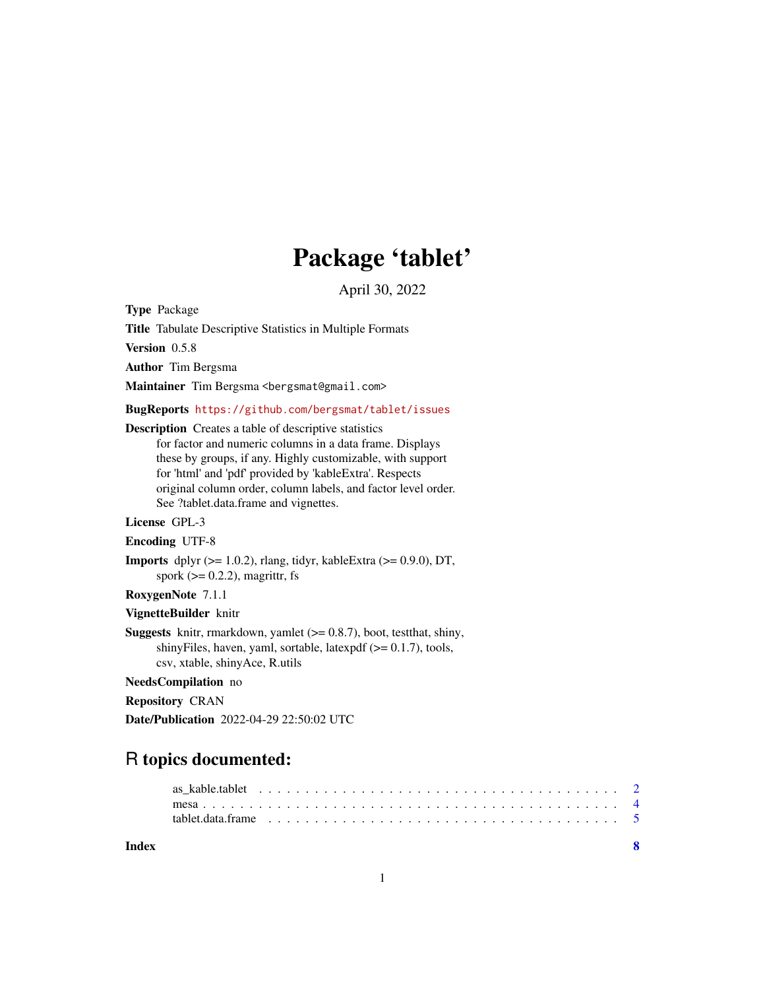## Package 'tablet'

April 30, 2022

<span id="page-0-0"></span>Type Package

Title Tabulate Descriptive Statistics in Multiple Formats

Version 0.5.8

Author Tim Bergsma

Maintainer Tim Bergsma <bergsmat@gmail.com>

BugReports <https://github.com/bergsmat/tablet/issues>

#### Description Creates a table of descriptive statistics

for factor and numeric columns in a data frame. Displays these by groups, if any. Highly customizable, with support for 'html' and 'pdf' provided by 'kableExtra'. Respects original column order, column labels, and factor level order. See ?tablet.data.frame and vignettes.

#### License GPL-3

Encoding UTF-8

**Imports** dplyr  $(>= 1.0.2)$ , rlang, tidyr, kableExtra  $(>= 0.9.0)$ , DT, spork  $(>= 0.2.2)$ , magrittr, fs

#### RoxygenNote 7.1.1

#### VignetteBuilder knitr

**Suggests** knitr, rmarkdown, yamlet  $(>= 0.8.7)$ , boot, test that, shiny, shinyFiles, haven, yaml, sortable, latexpdf  $(>= 0.1.7)$ , tools, csv, xtable, shinyAce, R.utils

#### NeedsCompilation no

Repository CRAN

Date/Publication 2022-04-29 22:50:02 UTC

### R topics documented:

#### **Index** [8](#page-7-0) **8**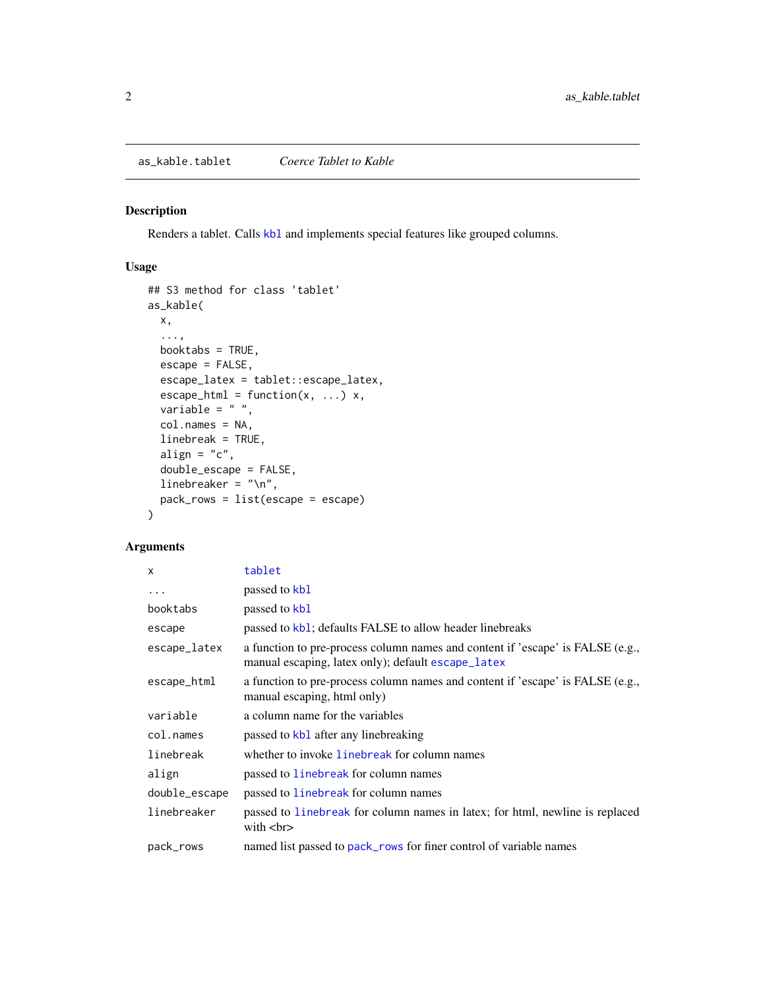#### <span id="page-1-1"></span><span id="page-1-0"></span>Description

Renders a tablet. Calls [kbl](#page-0-0) and implements special features like grouped columns.

#### Usage

```
## S3 method for class 'tablet'
as_kable(
 x,
  ...,
 booktabs = TRUE,
 escape = FALSE,
 escape_latex = tablet::escape_latex,
 escape_html = function(x, \ldots) x,
  variable = " "col.names = NA,
  linebreak = TRUE,
  align = "c",double_escape = FALSE,
  linebreaker = "\n\n\cdot",
 pack_rows = list(escape = escape)
)
```
#### Arguments

| X             | tablet                                                                                                                               |
|---------------|--------------------------------------------------------------------------------------------------------------------------------------|
| $\ddots$ .    | passed to kb1                                                                                                                        |
| booktabs      | passed to kb1                                                                                                                        |
| escape        | passed to kb1; defaults FALSE to allow header linebreaks                                                                             |
| escape_latex  | a function to pre-process column names and content if 'escape' is FALSE (e.g.,<br>manual escaping, latex only); default escape_latex |
| escape_html   | a function to pre-process column names and content if 'escape' is FALSE (e.g.,<br>manual escaping, html only)                        |
| variable      | a column name for the variables                                                                                                      |
| col.names     | passed to kbl after any linebreaking                                                                                                 |
| linebreak     | whether to invoke linebreak for column names                                                                                         |
| align         | passed to linebreak for column names                                                                                                 |
| double_escape | passed to line break for column names                                                                                                |
| linebreaker   | passed to linebreak for column names in latex; for html, newline is replaced<br>with $str>$                                          |
| pack_rows     | named list passed to pack_rows for finer control of variable names                                                                   |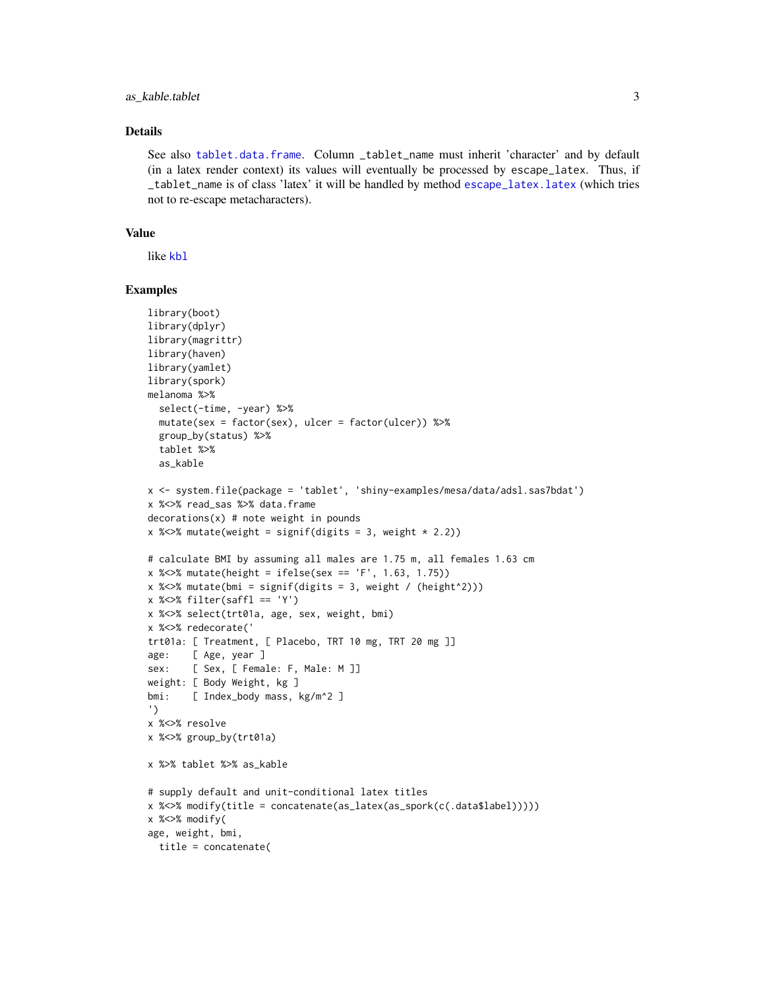#### <span id="page-2-0"></span>as kable.tablet 3

#### Details

See also [tablet.data.frame](#page-4-1). Column \_tablet\_name must inherit 'character' and by default (in a latex render context) its values will eventually be processed by escape\_latex. Thus, if \_tablet\_name is of class 'latex' it will be handled by method [escape\\_latex.latex](#page-0-0) (which tries not to re-escape metacharacters).

#### Value

like [kbl](#page-0-0)

#### Examples

```
library(boot)
library(dplyr)
library(magrittr)
library(haven)
library(yamlet)
library(spork)
melanoma %>%
  select(-time, -year) %>%
  mutate(sex = factor(sex), ulcer = factor(ulcer)) %>%
  group_by(status) %>%
  tablet %>%
  as kable
x <- system.file(package = 'tablet', 'shiny-examples/mesa/data/adsl.sas7bdat')
x %<>% read_sas %>% data.frame
decontains(x) # note weight in pounds
x % \>>\ mutate(weight = signif(digits = 3, weight * 2.2))
# calculate BMI by assuming all males are 1.75 m, all females 1.63 cm
x %<>% mutate(height = ifelse(sex == 'F', 1.63, 1.75))
x %\ll mutate(bmi = signif(digits = 3, weight / (height^2)))
x %>> filter(saffl == 'Y')
x %<>% select(trt01a, age, sex, weight, bmi)
x %<>% redecorate('
trt01a: [ Treatment, [ Placebo, TRT 10 mg, TRT 20 mg ]]
age: [ Age, year ]
sex: [ Sex, [ Female: F, Male: M ]]
weight: [ Body Weight, kg ]
bmi: [ Index_body mass, kg/m^2 ]
')
x %<>% resolve
x %<>% group_by(trt01a)
x %>% tablet %>% as_kable
# supply default and unit-conditional latex titles
x %<>% modify(title = concatenate(as_latex(as_spork(c(.data$label)))))
x %<>% modify(
age, weight, bmi,
  title = concatenate(
```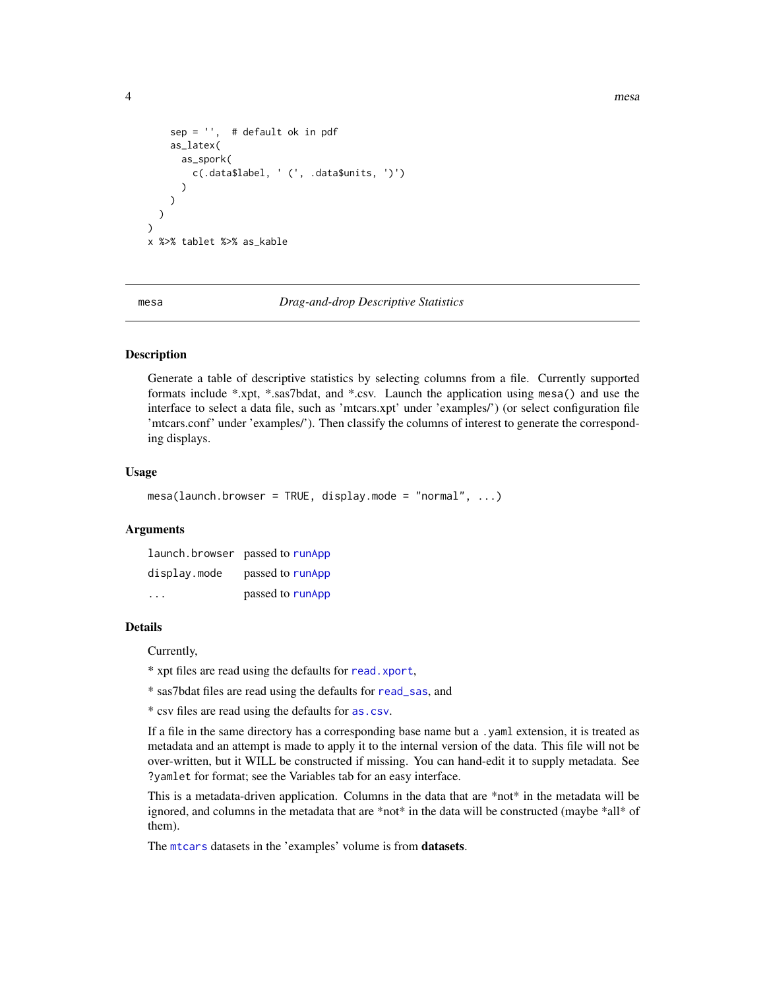```
sep = '', # default ok in pdf
    as_latex(
      as_spork(
       c(.data$label, ' (', .data$units, ')')
      )
   )
 )
)
x %>% tablet %>% as_kable
```
mesa *Drag-and-drop Descriptive Statistics*

#### Description

Generate a table of descriptive statistics by selecting columns from a file. Currently supported formats include \*.xpt, \*.sas7bdat, and \*.csv. Launch the application using mesa() and use the interface to select a data file, such as 'mtcars.xpt' under 'examples/') (or select configuration file 'mtcars.conf' under 'examples/'). Then classify the columns of interest to generate the corresponding displays.

#### Usage

mesa(launch.browser = TRUE, display.mode = "normal", ...)

#### Arguments

| launch.browser passed to runApp |                  |
|---------------------------------|------------------|
| display.mode                    | passed to runApp |
| $\cdots$                        | passed to runApp |

#### Details

Currently,

\* xpt files are read using the defaults for [read.xport](#page-0-0),

\* sas7bdat files are read using the defaults for [read\\_sas](#page-0-0), and

\* csv files are read using the defaults for [as.csv](#page-0-0).

If a file in the same directory has a corresponding base name but a .yaml extension, it is treated as metadata and an attempt is made to apply it to the internal version of the data. This file will not be over-written, but it WILL be constructed if missing. You can hand-edit it to supply metadata. See ?yamlet for format; see the Variables tab for an easy interface.

This is a metadata-driven application. Columns in the data that are \*not\* in the metadata will be ignored, and columns in the metadata that are \*not\* in the data will be constructed (maybe \*all\* of them).

The [mtcars](#page-0-0) datasets in the 'examples' volume is from datasets.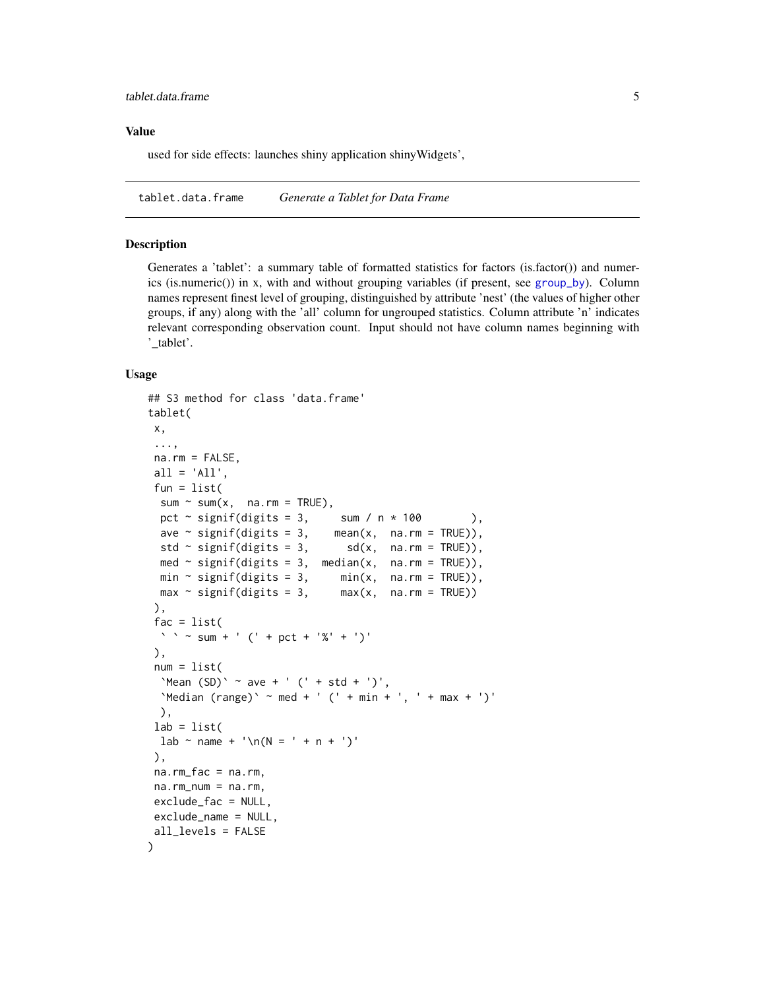#### <span id="page-4-0"></span>Value

used for side effects: launches shiny application shinyWidgets',

<span id="page-4-1"></span>tablet.data.frame *Generate a Tablet for Data Frame*

#### **Description**

Generates a 'tablet': a summary table of formatted statistics for factors (is.factor()) and numerics (is.numeric()) in x, with and without grouping variables (if present, see [group\\_by](#page-0-0)). Column names represent finest level of grouping, distinguished by attribute 'nest' (the values of higher other groups, if any) along with the 'all' column for ungrouped statistics. Column attribute 'n' indicates relevant corresponding observation count. Input should not have column names beginning with '\_tablet'.

#### Usage

```
## S3 method for class 'data.frame'
tablet(
x,
 ...,
na.rm = FALSE,all = 'All',fun = list(sum \sim sum(x, na.rm = TRUE),
 pct \sim signif(digits = 3, sum / n \times 100 ),
 ave \sim signif(digits = 3, mean(x, na.rm = TRUE)),
  std ~ signif(digits = 3, sd(x, na.rm = TRUE)),med \sim signif(digits = 3, median(x, na.rm = TRUE)),
 min \sim signif(digits = 3, min(x, \text{na.rm = TRUE})),max \sim signif(digits = 3, max(x, na.rm = TRUE))
),
 fac = list(\sum_{i=1}^{n} \sum_{i=1}^{n} sum + ' (' + pct + '%' + ')'
),
num = list('Mean (SD)' \sim ave + ' (' + std + '')',`Median (range)` ~ med + ' (' + min + ', ' + max + ')'
 ),
lab = list(lab \sim name + ' \n\ln(N = ' + n + ')'),
na.rm_fac = na.rm,
na.rm_num = na.rm,
exclude_fac = NULL,
exclude_name = NULL,
all_levels = FALSE
)
```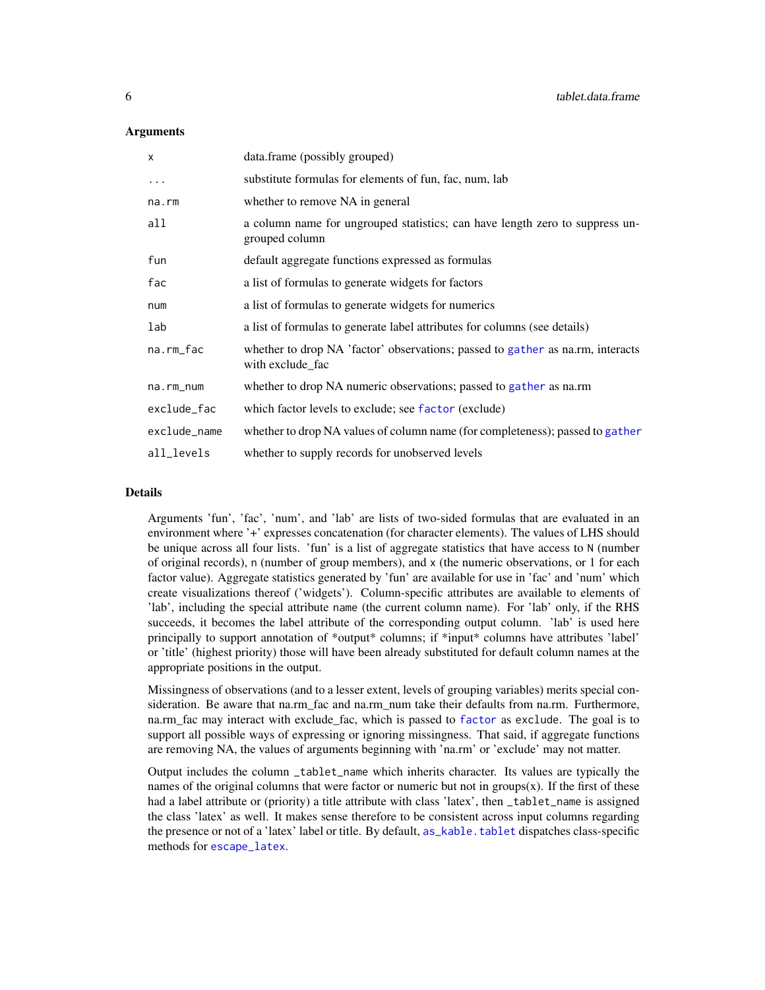#### <span id="page-5-0"></span>**Arguments**

| x            | data.frame (possibly grouped)                                                                      |
|--------------|----------------------------------------------------------------------------------------------------|
| $\ddots$ .   | substitute formulas for elements of fun, fac, num, lab                                             |
| na.rm        | whether to remove NA in general                                                                    |
| all          | a column name for ungrouped statistics; can have length zero to suppress un-<br>grouped column     |
| fun          | default aggregate functions expressed as formulas                                                  |
| fac          | a list of formulas to generate widgets for factors                                                 |
| num          | a list of formulas to generate widgets for numerics                                                |
| lab          | a list of formulas to generate label attributes for columns (see details)                          |
| na.rm_fac    | whether to drop NA 'factor' observations; passed to gather as na.rm, interacts<br>with exclude_fac |
| na.rm_num    | whether to drop NA numeric observations; passed to gather as na.rm                                 |
| exclude_fac  | which factor levels to exclude; see factor (exclude)                                               |
| exclude_name | whether to drop NA values of column name (for completeness); passed to gather                      |
| all_levels   | whether to supply records for unobserved levels                                                    |

#### Details

Arguments 'fun', 'fac', 'num', and 'lab' are lists of two-sided formulas that are evaluated in an environment where '+' expresses concatenation (for character elements). The values of LHS should be unique across all four lists. 'fun' is a list of aggregate statistics that have access to N (number of original records), n (number of group members), and x (the numeric observations, or 1 for each factor value). Aggregate statistics generated by 'fun' are available for use in 'fac' and 'num' which create visualizations thereof ('widgets'). Column-specific attributes are available to elements of 'lab', including the special attribute name (the current column name). For 'lab' only, if the RHS succeeds, it becomes the label attribute of the corresponding output column. 'lab' is used here principally to support annotation of \*output\* columns; if \*input\* columns have attributes 'label' or 'title' (highest priority) those will have been already substituted for default column names at the appropriate positions in the output.

Missingness of observations (and to a lesser extent, levels of grouping variables) merits special consideration. Be aware that na.rm fac and na.rm num take their defaults from na.rm. Furthermore, na.rm fac may interact with exclude fac, which is passed to [factor](#page-0-0) as exclude. The goal is to support all possible ways of expressing or ignoring missingness. That said, if aggregate functions are removing NA, the values of arguments beginning with 'na.rm' or 'exclude' may not matter.

Output includes the column \_tablet\_name which inherits character. Its values are typically the names of the original columns that were factor or numeric but not in groups(x). If the first of these had a label attribute or (priority) a title attribute with class 'latex', then \_tablet\_name is assigned the class 'latex' as well. It makes sense therefore to be consistent across input columns regarding the presence or not of a 'latex' label or title. By default, [as\\_kable.tablet](#page-1-1) dispatches class-specific methods for [escape\\_latex](#page-0-0).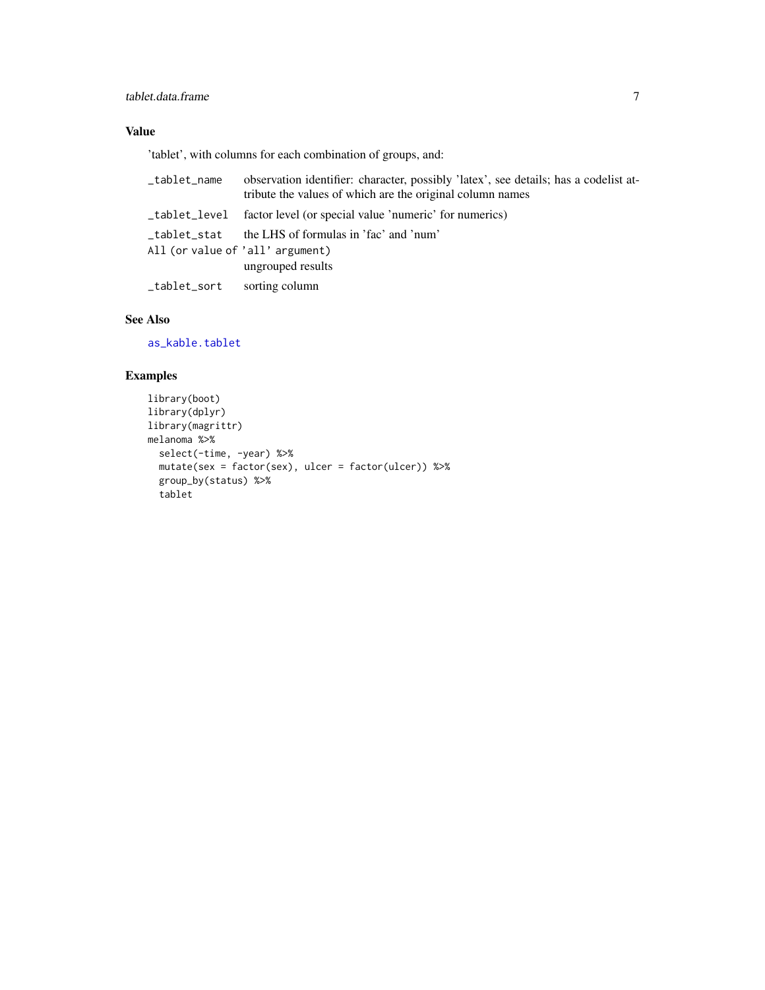#### <span id="page-6-0"></span>tablet.data.frame 7

#### Value

'tablet', with columns for each combination of groups, and:

| _tablet_name                                    | observation identifier: character, possibly 'latex', see details; has a codelist at-<br>tribute the values of which are the original column names |
|-------------------------------------------------|---------------------------------------------------------------------------------------------------------------------------------------------------|
| _tablet_level                                   | factor level (or special value 'numeric' for numerics)                                                                                            |
| tablet stat<br>All (or value of 'all' argument) | the LHS of formulas in 'fac' and 'num'<br>ungrouped results                                                                                       |
| _tablet_sort                                    | sorting column                                                                                                                                    |

#### See Also

[as\\_kable.tablet](#page-1-1)

#### Examples

```
library(boot)
library(dplyr)
library(magrittr)
melanoma %>%
  select(-time, -year) %>%
  mutate(sex = factor(sex), ulcer = factor(ulcer)) %>%
  group_by(status) %>%
  tablet
```